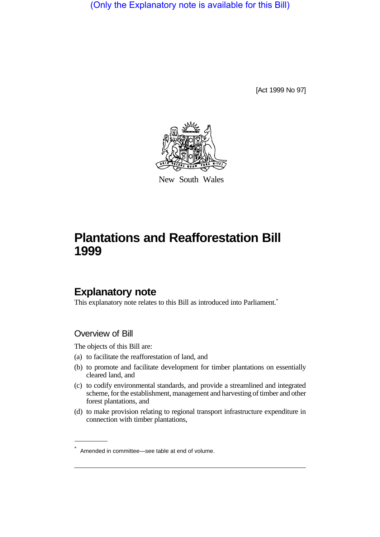(Only the Explanatory note is available for this Bill)

[Act 1999 No 97]



New South Wales

# **Plantations and Reafforestation Bill 1999**

# **Explanatory note**

This explanatory note relates to this Bill as introduced into Parliament.<sup>\*</sup>

#### Overview of Bill

The objects of this Bill are:

- (a) to facilitate the reafforestation of land, and
- (b) to promote and facilitate development for timber plantations on essentially cleared land, and
- (c) to codify environmental standards, and provide a streamlined and integrated scheme, for the establishment, management and harvesting of timber and other forest plantations, and
- (d) to make provision relating to regional transport infrastructure expenditure in connection with timber plantations,

<sup>\*</sup> Amended in committee—see table at end of volume.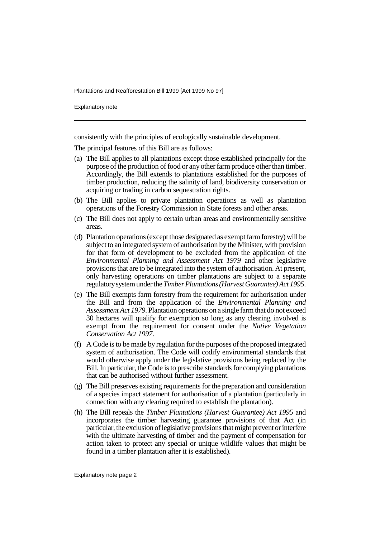Explanatory note

consistently with the principles of ecologically sustainable development.

The principal features of this Bill are as follows:

- (a) The Bill applies to all plantations except those established principally for the purpose of the production of food or any other farm produce other than timber. Accordingly, the Bill extends to plantations established for the purposes of timber production, reducing the salinity of land, biodiversity conservation or acquiring or trading in carbon sequestration rights.
- (b) The Bill applies to private plantation operations as well as plantation operations of the Forestry Commission in State forests and other areas.
- (c) The Bill does not apply to certain urban areas and environmentally sensitive areas.
- (d) Plantation operations (except those designated as exempt farm forestry) will be subject to an integrated system of authorisation by the Minister, with provision for that form of development to be excluded from the application of the *Environmental Planning and Assessment Act 1979* and other legislative provisions that are to be integrated into the system of authorisation. At present, only harvesting operations on timber plantations are subject to a separate regulatory system under the *Timber Plantations (Harvest Guarantee) Act 1995*.
- (e) The Bill exempts farm forestry from the requirement for authorisation under the Bill and from the application of the *Environmental Planning and Assessment Act 1979*. Plantation operations on a single farm that do not exceed 30 hectares will qualify for exemption so long as any clearing involved is exempt from the requirement for consent under the *Native Vegetation Conservation Act 1997*.
- (f) A Code is to be made by regulation for the purposes of the proposed integrated system of authorisation. The Code will codify environmental standards that would otherwise apply under the legislative provisions being replaced by the Bill. In particular, the Code is to prescribe standards for complying plantations that can be authorised without further assessment.
- (g) The Bill preserves existing requirements for the preparation and consideration of a species impact statement for authorisation of a plantation (particularly in connection with any clearing required to establish the plantation).
- (h) The Bill repeals the *Timber Plantations (Harvest Guarantee) Act 1995* and incorporates the timber harvesting guarantee provisions of that Act (in particular, the exclusion of legislative provisions that might prevent or interfere with the ultimate harvesting of timber and the payment of compensation for action taken to protect any special or unique wildlife values that might be found in a timber plantation after it is established).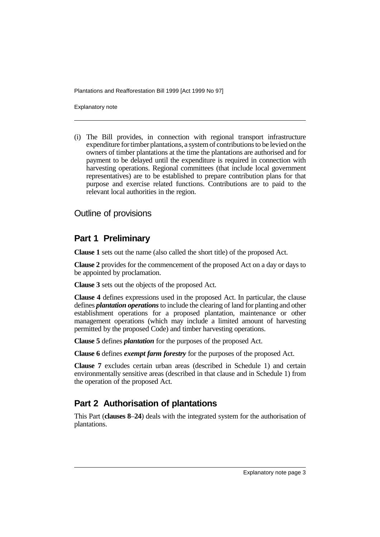Explanatory note

(i) The Bill provides, in connection with regional transport infrastructure expenditure for timber plantations, a system of contributions to be levied on the owners of timber plantations at the time the plantations are authorised and for payment to be delayed until the expenditure is required in connection with harvesting operations. Regional committees (that include local government representatives) are to be established to prepare contribution plans for that purpose and exercise related functions. Contributions are to paid to the relevant local authorities in the region.

#### Outline of provisions

## **Part 1 Preliminary**

**Clause 1** sets out the name (also called the short title) of the proposed Act.

**Clause 2** provides for the commencement of the proposed Act on a day or days to be appointed by proclamation.

**Clause 3** sets out the objects of the proposed Act.

**Clause 4** defines expressions used in the proposed Act. In particular, the clause defines *plantation operations* to include the clearing of land for planting and other establishment operations for a proposed plantation, maintenance or other management operations (which may include a limited amount of harvesting permitted by the proposed Code) and timber harvesting operations.

**Clause 5** defines *plantation* for the purposes of the proposed Act.

**Clause 6** defines *exempt farm forestry* for the purposes of the proposed Act.

**Clause 7** excludes certain urban areas (described in Schedule 1) and certain environmentally sensitive areas (described in that clause and in Schedule 1) from the operation of the proposed Act.

# **Part 2 Authorisation of plantations**

This Part (**clauses 8**–**24**) deals with the integrated system for the authorisation of plantations.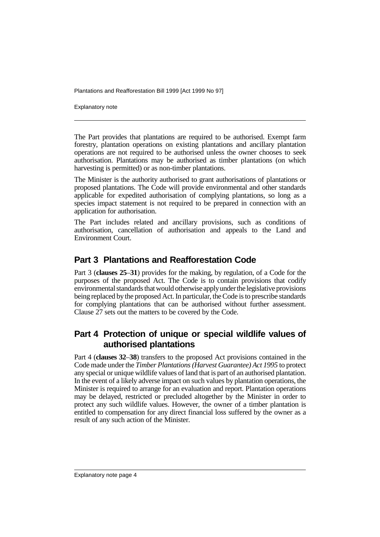Explanatory note

The Part provides that plantations are required to be authorised. Exempt farm forestry, plantation operations on existing plantations and ancillary plantation operations are not required to be authorised unless the owner chooses to seek authorisation. Plantations may be authorised as timber plantations (on which harvesting is permitted) or as non-timber plantations.

The Minister is the authority authorised to grant authorisations of plantations or proposed plantations. The Code will provide environmental and other standards applicable for expedited authorisation of complying plantations, so long as a species impact statement is not required to be prepared in connection with an application for authorisation.

The Part includes related and ancillary provisions, such as conditions of authorisation, cancellation of authorisation and appeals to the Land and Environment Court.

#### **Part 3 Plantations and Reafforestation Code**

Part 3 (**clauses 25**–**31**) provides for the making, by regulation, of a Code for the purposes of the proposed Act. The Code is to contain provisions that codify environmental standards that would otherwise apply under the legislative provisions being replaced by the proposed Act. In particular, the Code is to prescribe standards for complying plantations that can be authorised without further assessment. Clause 27 sets out the matters to be covered by the Code.

## **Part 4 Protection of unique or special wildlife values of authorised plantations**

Part 4 (**clauses 32**–**38**) transfers to the proposed Act provisions contained in the Code made under the *Timber Plantations (Harvest Guarantee) Act 1995* to protect any special or unique wildlife values of land that is part of an authorised plantation. In the event of a likely adverse impact on such values by plantation operations, the Minister is required to arrange for an evaluation and report. Plantation operations may be delayed, restricted or precluded altogether by the Minister in order to protect any such wildlife values. However, the owner of a timber plantation is entitled to compensation for any direct financial loss suffered by the owner as a result of any such action of the Minister.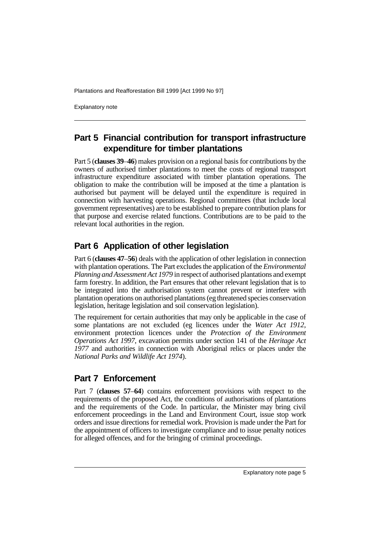Explanatory note

## **Part 5 Financial contribution for transport infrastructure expenditure for timber plantations**

Part 5 (**clauses 39**–**46**) makes provision on a regional basis for contributions by the owners of authorised timber plantations to meet the costs of regional transport infrastructure expenditure associated with timber plantation operations. The obligation to make the contribution will be imposed at the time a plantation is authorised but payment will be delayed until the expenditure is required in connection with harvesting operations. Regional committees (that include local government representatives) are to be established to prepare contribution plans for that purpose and exercise related functions. Contributions are to be paid to the relevant local authorities in the region.

# **Part 6 Application of other legislation**

Part 6 (**clauses 47**–**56**) deals with the application of other legislation in connection with plantation operations. The Part excludes the application of the *Environmental Planning and Assessment Act 1979* in respect of authorised plantations and exempt farm forestry. In addition, the Part ensures that other relevant legislation that is to be integrated into the authorisation system cannot prevent or interfere with plantation operations on authorised plantations (eg threatened species conservation legislation, heritage legislation and soil conservation legislation).

The requirement for certain authorities that may only be applicable in the case of some plantations are not excluded (eg licences under the *Water Act 1912*, environment protection licences under the *Protection of the Environment Operations Act 1997*, excavation permits under section 141 of the *Heritage Act 1977* and authorities in connection with Aboriginal relics or places under the *National Parks and Wildlife Act 1974*).

#### **Part 7 Enforcement**

Part 7 (**clauses 57**–**64**) contains enforcement provisions with respect to the requirements of the proposed Act, the conditions of authorisations of plantations and the requirements of the Code. In particular, the Minister may bring civil enforcement proceedings in the Land and Environment Court, issue stop work orders and issue directions for remedial work. Provision is made under the Part for the appointment of officers to investigate compliance and to issue penalty notices for alleged offences, and for the bringing of criminal proceedings.